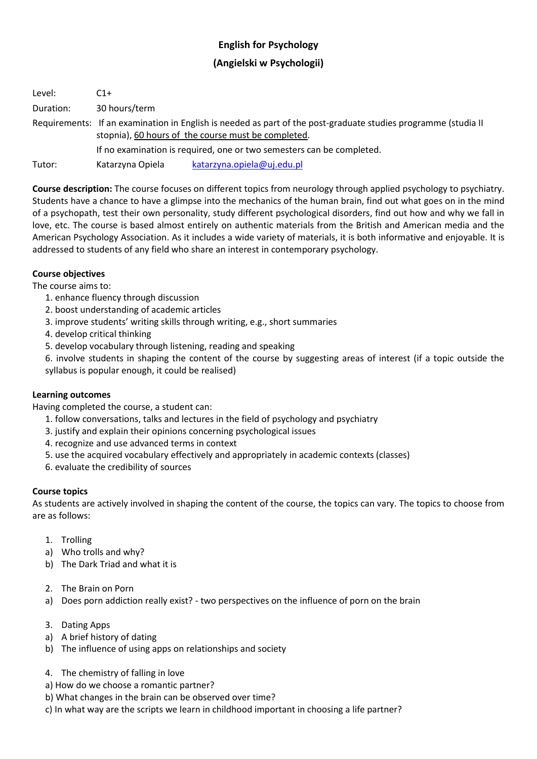# **English for Psychology**

## **(Angielski w Psychologii)**

Level: C1+ Duration: 30 hours/term Requirements: If an examination in English is needed as part of the post-graduate studies programme (studia II stopnia), 60 hours of the course must be completed. If no examination is required, one or two semesters can be completed. Tutor: Katarzyna Opiela [katarzyna.opiela@uj.edu.pl](mailto:katarzyna.opiela@uj.edu.pl)

**Course description:** The course focuses on different topics from neurology through applied psychology to psychiatry. Students have a chance to have a glimpse into the mechanics of the human brain, find out what goes on in the mind of a psychopath, test their own personality, study different psychological disorders, find out how and why we fall in love, etc. The course is based almost entirely on authentic materials from the British and American media and the American Psychology Association. As it includes a wide variety of materials, it is both informative and enjoyable. It is addressed to students of any field who share an interest in contemporary psychology.

## **Course objectives**

The course aims to:

- 1. enhance fluency through discussion
- 2. boost understanding of academic articles
- 3. improve students' writing skills through writing, e.g., short summaries
- 4. develop critical thinking
- 5. develop vocabulary through listening, reading and speaking

6. involve students in shaping the content of the course by suggesting areas of interest (if a topic outside the syllabus is popular enough, it could be realised)

#### **Learning outcomes**

Having completed the course, a student can:

- 1. follow conversations, talks and lectures in the field of psychology and psychiatry
- 3. justify and explain their opinions concerning psychological issues
- 4. recognize and use advanced terms in context
- 5. use the acquired vocabulary effectively and appropriately in academic contexts (classes)
- 6. evaluate the credibility of sources

#### **Course topics**

As students are actively involved in shaping the content of the course, the topics can vary. The topics to choose from are as follows:

- 1. Trolling
- a) Who trolls and why?
- b) The Dark Triad and what it is
- 2. The Brain on Porn
- a) Does porn addiction really exist? two perspectives on the influence of porn on the brain
- 3. Dating Apps
- a) A brief history of dating
- b) The influence of using apps on relationships and society
- 4. The chemistry of falling in love
- a) How do we choose a romantic partner?
- b) What changes in the brain can be observed over time?
- c) In what way are the scripts we learn in childhood important in choosing a life partner?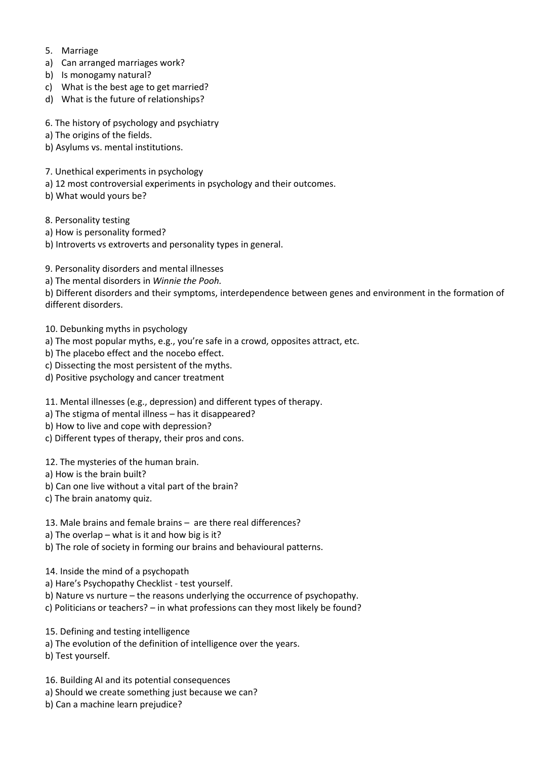- 5. Marriage
- a) Can arranged marriages work?
- b) Is monogamy natural?
- c) What is the best age to get married?
- d) What is the future of relationships?
- 6. The history of psychology and psychiatry
- a) The origins of the fields.
- b) Asylums vs. mental institutions.
- 7. Unethical experiments in psychology
- a) 12 most controversial experiments in psychology and their outcomes.
- b) What would yours be?
- 8. Personality testing
- a) How is personality formed?
- b) Introverts vs extroverts and personality types in general.
- 9. Personality disorders and mental illnesses
- a) The mental disorders in *Winnie the Pooh.*

b) Different disorders and their symptoms, interdependence between genes and environment in the formation of different disorders.

- 10. Debunking myths in psychology
- a) The most popular myths, e.g., you're safe in a crowd, opposites attract, etc.
- b) The placebo effect and the nocebo effect.
- c) Dissecting the most persistent of the myths.
- d) Positive psychology and cancer treatment
- 11. Mental illnesses (e.g., depression) and different types of therapy.
- a) The stigma of mental illness has it disappeared?
- b) How to live and cope with depression?
- c) Different types of therapy, their pros and cons.
- 12. The mysteries of the human brain.
- a) How is the brain built?
- b) Can one live without a vital part of the brain?
- c) The brain anatomy quiz.
- 13. Male brains and female brains are there real differences?
- a) The overlap what is it and how big is it?
- b) The role of society in forming our brains and behavioural patterns.
- 14. Inside the mind of a psychopath
- a) Hare's Psychopathy Checklist test yourself.
- b) Nature vs nurture the reasons underlying the occurrence of psychopathy.
- c) Politicians or teachers? in what professions can they most likely be found?
- 15. Defining and testing intelligence
- a) The evolution of the definition of intelligence over the years.
- b) Test yourself.
- 16. Building AI and its potential consequences
- a) Should we create something just because we can?
- b) Can a machine learn prejudice?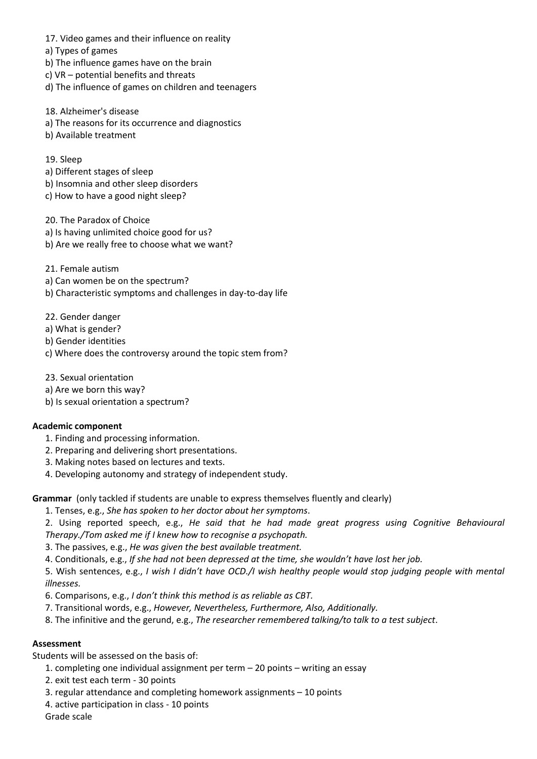- 17. Video games and their influence on reality
- a) Types of games
- b) The influence games have on the brain
- c) VR potential benefits and threats
- d) The influence of games on children and teenagers
- 18. Alzheimer's disease
- a) The reasons for its occurrence and diagnostics
- b) Available treatment

### 19. Sleep

- a) Different stages of sleep
- b) Insomnia and other sleep disorders
- c) How to have a good night sleep?

20. The Paradox of Choice

- a) Is having unlimited choice good for us?
- b) Are we really free to choose what we want?
- 21. Female autism
- a) Can women be on the spectrum?
- b) Characteristic symptoms and challenges in day-to-day life
- 22. Gender danger
- a) What is gender?
- b) Gender identities
- c) Where does the controversy around the topic stem from?
- 23. Sexual orientation
- a) Are we born this way?
- b) Is sexual orientation a spectrum?

#### **Academic component**

- 1. Finding and processing information.
- 2. Preparing and delivering short presentations.
- 3. Making notes based on lectures and texts.
- 4. Developing autonomy and strategy of independent study.

**Grammar** (only tackled if students are unable to express themselves fluently and clearly)

- 1. Tenses, e.g., *She has spoken to her doctor about her symptoms*.
- 2. Using reported speech, e.g., *He said that he had made great progress using Cognitive Behavioural Therapy./Tom asked me if I knew how to recognise a psychopath.*
- 3. The passives, e.g., *He was given the best available treatment.*
- 4. Conditionals, e.g., *If she had not been depressed at the time, she wouldn't have lost her job.*

5. Wish sentences, e.g., *I wish I didn't have OCD./I wish healthy people would stop judging people with mental illnesses.*

- 6. Comparisons, e.g., *I don't think this method is as reliable as CBT.*
- 7. Transitional words, e.g., *However, Nevertheless, Furthermore, Also, Additionally.*
- 8. The infinitive and the gerund, e.g., *The researcher remembered talking/to talk to a test subject*.

#### **Assessment**

Students will be assessed on the basis of:

- 1. completing one individual assignment per term 20 points writing an essay
- 2. exit test each term 30 points
- 3. regular attendance and completing homework assignments 10 points
- 4. active participation in class 10 points
- Grade scale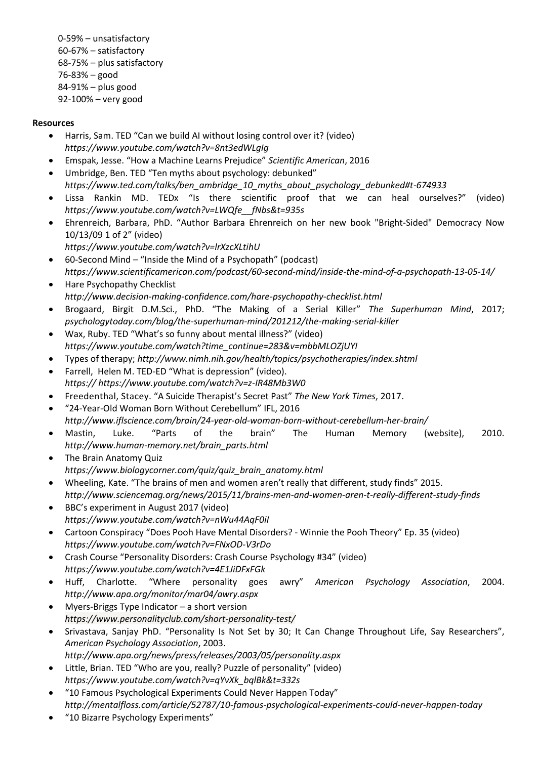0-59% – unsatisfactory 60-67% – satisfactory 68-75% – plus satisfactory 76-83% – good 84-91% – plus good 92-100% – very good

## **Resources**

- Harris, Sam. TED "Can we build AI without losing control over it? (video) *https://www.youtube.com/watch?v=8nt3edWLgIg*
- [Emspak,](https://www.scientificamerican.com/author/jesse-emspak/) Jesse. "How a Machine Learns Prejudice" *Scientific American*, 2016
- Umbridge, Ben. TED "Ten myths about psychology: debunked" *https://www.ted.com/talks/ben\_ambridge\_10\_myths\_about\_psychology\_debunked#t-674933*
- Lissa Rankin MD. TEDx "Is there scientific proof that we can heal ourselves?" (video) *https://www.youtube.com/watch?v=LWQfe\_\_fNbs&t=935s*
- Ehrenreich, Barbara, PhD. "Author Barbara Ehrenreich on her new book "Bright-Sided" Democracy Now 10/13/09 1 of 2" (video)
	- *<https://www.youtube.com/watch?v=lrXzcXLtihU>*
- 60-Second Mind "Inside the Mind of a Psychopath" (podcast) *https://www.scientificamerican.com/podcast/60-second-mind/inside-the-mind-of-a-psychopath-13-05-14/*
- Hare Psychopathy Checklist *http://www.decision-making-confidence.com/hare-psychopathy-checklist.html*
- Brogaard, Birgit [D.M.Sci., PhD.](https://www.psychologytoday.com/experts/berit-brogaard-dmsci-phd) "The Making of a Serial Killer" *[The Superhuman Mind](https://www.psychologytoday.com/blog/the-superhuman-mind)*, 2017; *psychologytoday.com/blog/the-superhuman-mind/201212/the-making-serial-killer*
- Wax, Ruby. TED "What's so funny about mental illness?" (video) *https://www.youtube.com/watch?time\_continue=283&v=mbbMLOZjUYI*
- Types of therapy; *http://www.nimh.nih.gov/health/topics/psychotherapies/index.shtml*
- Farrell, Helen M. TED-ED "What is depression" (video). *https:// https://www.youtube.com/watch?v=z-IR48Mb3W0*
- Freedenthal, Stacey. "A Suicide Therapist's Secret Past" *The New York Times*, 2017.
- "24-Year-Old Woman Born Without Cerebellum" IFL, 2016 *http://www.iflscience.com/brain/24-year-old-woman-born-without-cerebellum-her-brain/*
- Mastin, Luke. "Parts of the brain" The Human Memory (website), 2010. *http://www.human-memory.net/brain\_parts.html*
- The Brain Anatomy Quiz *https://www.biologycorner.com/quiz/quiz\_brain\_anatomy.html*
- [Wheeling,](http://www.sciencemag.org/author/kate-wheeling) Kate. "The brains of men and women aren't really that different, study finds" 2015. *http://www.sciencemag.org/news/2015/11/brains-men-and-women-aren-t-really-different-study-finds*
- BBC's experiment in August 2017 (video) *https://www.youtube.com/watch?v=nWu44AqF0iI*
- Cartoon Conspiracy "Does Pooh Have Mental Disorders? Winnie the Pooh Theory" Ep. 35 (video) *https://www.youtube.com/watch?v=FNxOD-V3rDo*
- Crash Course "Personality Disorders: Crash Course Psychology #34" (video) *https://www.youtube.com/watch?v=4E1JiDFxFGk*
- Huff, Charlotte. "Where personality goes awry" *American Psychology Association*, 2004. *http://www.apa.org/monitor/mar04/awry.aspx*
- Myers-Briggs Type Indicator a short version *https://www.personalityclub.com/short-personality-test/*
- Srivastava, Sanjay PhD. "Personality Is Not Set by 30; It Can Change Throughout Life, Say Researchers", *American Psychology Association*, 2003.
- *http://www.apa.org/news/press/releases/2003/05/personality.aspx*
- Little, Brian. TED "Who are you, really? Puzzle of personality" (video) *https://www.youtube.com/watch?v=qYvXk\_bqlBk&t=332s*
- "10 Famous Psychological Experiments Could Never Happen Today" *<http://mentalfloss.com/article/52787/10-famous-psychological-experiments-could-never-happen-today>*
- "10 Bizarre Psychology Experiments"